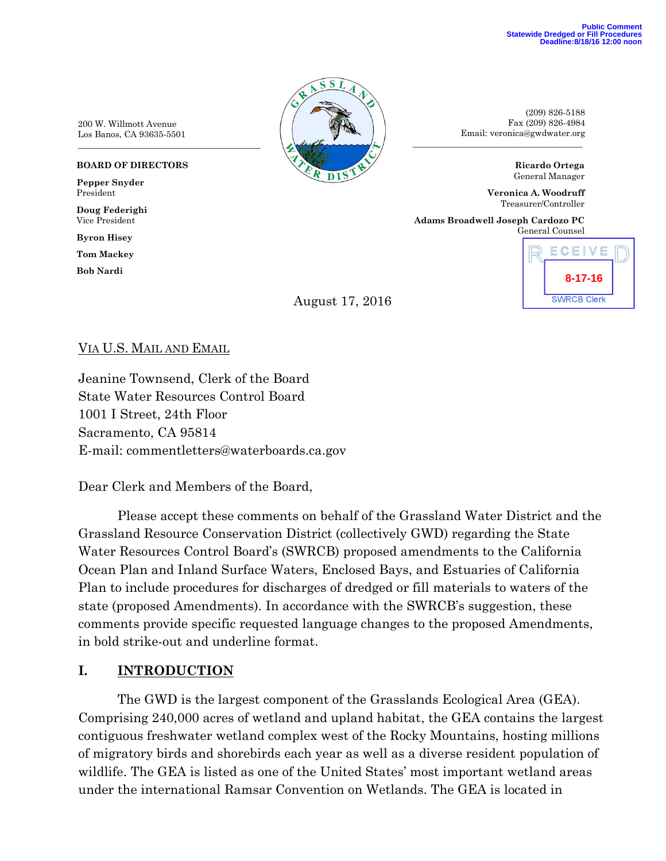(209) 826-5188 Fax (209) 826-4984 Email: veronica@gwdwater.org

> **Ricardo Ortega** General Manager

**Veronica A. Woodruff** Treasurer/Controller

**Adams Broadwell Joseph Cardozo PC** General Counsel

\_\_\_\_\_\_\_\_\_\_\_\_\_\_\_\_\_\_\_\_\_\_\_\_\_\_\_\_\_\_\_\_\_\_\_\_\_\_\_



200 W. Willmott Avenue Los Banos, CA 93635-5501

#### **BOARD OF DIRECTORS**

**Pepper Snyder** President

**Doug Federighi** Vice President

**Byron Hisey**

**Tom Mackey**

**Bob Nardi**

August 17, 2016

### VIA U.S. MAIL AND EMAIL

Jeanine Townsend, Clerk of the Board State Water Resources Control Board 1001 I Street, 24th Floor Sacramento, CA 95814 E-mail: commentletters@waterboards.ca.gov

Dear Clerk and Members of the Board,

Please accept these comments on behalf of the Grassland Water District and the Grassland Resource Conservation District (collectively GWD) regarding the State Water Resources Control Board's (SWRCB) proposed amendments to the California Ocean Plan and Inland Surface Waters, Enclosed Bays, and Estuaries of California Plan to include procedures for discharges of dredged or fill materials to waters of the state (proposed Amendments). In accordance with the SWRCB's suggestion, these comments provide specific requested language changes to the proposed Amendments, in bold strike-out and underline format.

#### **I. INTRODUCTION**

The GWD is the largest component of the Grasslands Ecological Area (GEA). Comprising 240,000 acres of wetland and upland habitat, the GEA contains the largest contiguous freshwater wetland complex west of the Rocky Mountains, hosting millions of migratory birds and shorebirds each year as well as a diverse resident population of wildlife. The GEA is listed as one of the United States' most important wetland areas under the international Ramsar Convention on Wetlands. The GEA is located in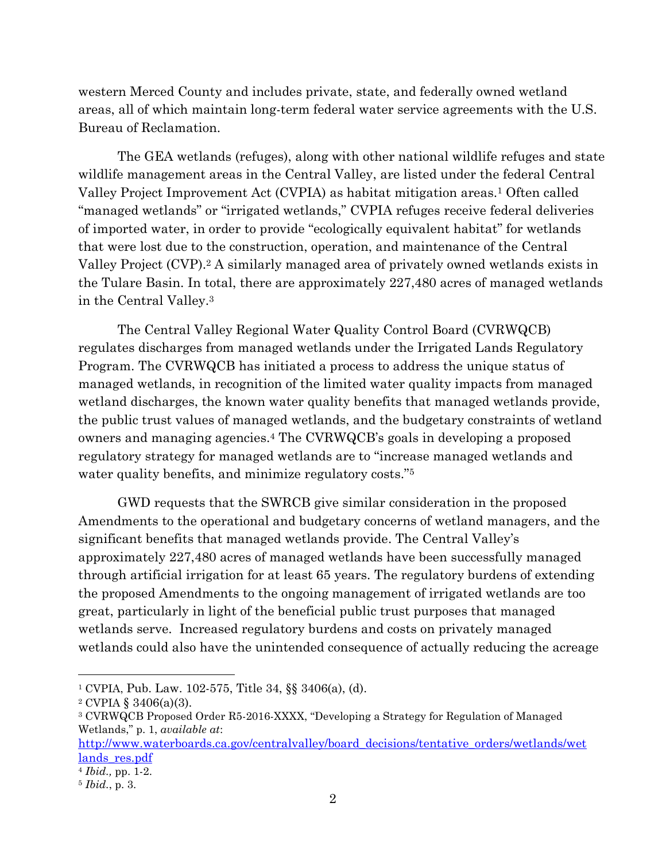western Merced County and includes private, state, and federally owned wetland areas, all of which maintain long-term federal water service agreements with the U.S. Bureau of Reclamation.

The GEA wetlands (refuges), along with other national wildlife refuges and state wildlife management areas in the Central Valley, are listed under the federal Central Valley Project Improvement Act (CVPIA) as habitat mitigation areas. <sup>1</sup> Often called "managed wetlands" or "irrigated wetlands," CVPIA refuges receive federal deliveries of imported water, in order to provide "ecologically equivalent habitat" for wetlands that were lost due to the construction, operation, and maintenance of the Central Valley Project (CVP). <sup>2</sup> A similarly managed area of privately owned wetlands exists in the Tulare Basin. In total, there are approximately 227,480 acres of managed wetlands in the Central Valley.<sup>3</sup>

The Central Valley Regional Water Quality Control Board (CVRWQCB) regulates discharges from managed wetlands under the Irrigated Lands Regulatory Program. The CVRWQCB has initiated a process to address the unique status of managed wetlands, in recognition of the limited water quality impacts from managed wetland discharges, the known water quality benefits that managed wetlands provide, the public trust values of managed wetlands, and the budgetary constraints of wetland owners and managing agencies. <sup>4</sup> The CVRWQCB's goals in developing a proposed regulatory strategy for managed wetlands are to "increase managed wetlands and water quality benefits, and minimize regulatory costs."<sup>5</sup>

GWD requests that the SWRCB give similar consideration in the proposed Amendments to the operational and budgetary concerns of wetland managers, and the significant benefits that managed wetlands provide. The Central Valley's approximately 227,480 acres of managed wetlands have been successfully managed through artificial irrigation for at least 65 years. The regulatory burdens of extending the proposed Amendments to the ongoing management of irrigated wetlands are too great, particularly in light of the beneficial public trust purposes that managed wetlands serve. Increased regulatory burdens and costs on privately managed wetlands could also have the unintended consequence of actually reducing the acreage

[http://www.waterboards.ca.gov/centralvalley/board\\_decisions/tentative\\_orders/wetlands/wet](http://www.waterboards.ca.gov/centralvalley/board_decisions/tentative_orders/wetlands/wetlands_res.pdf) lands res.pdf

 $\overline{a}$ 

<sup>1</sup> CVPIA, Pub. Law. 102-575, Title 34, §§ 3406(a), (d).

<sup>2</sup> CVPIA § 3406(a)(3).

<sup>3</sup> CVRWQCB Proposed Order R5-2016-XXXX, "Developing a Strategy for Regulation of Managed Wetlands," p. 1, *available at*:

<sup>4</sup> *Ibid.,* pp. 1-2.

<sup>5</sup> *Ibid.*, p. 3.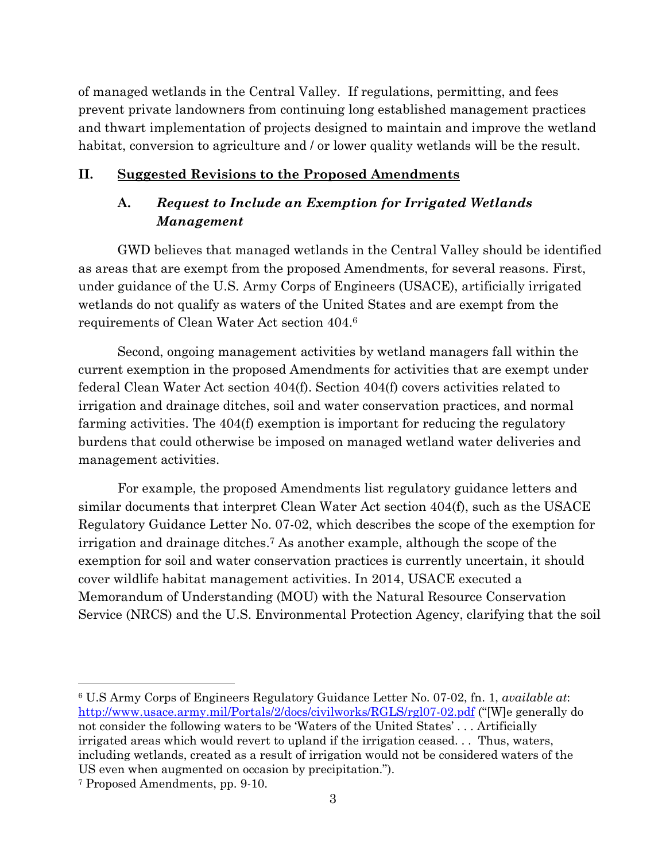of managed wetlands in the Central Valley. If regulations, permitting, and fees prevent private landowners from continuing long established management practices and thwart implementation of projects designed to maintain and improve the wetland habitat, conversion to agriculture and / or lower quality wetlands will be the result.

#### **II. Suggested Revisions to the Proposed Amendments**

# **A.** *Request to Include an Exemption for Irrigated Wetlands Management*

GWD believes that managed wetlands in the Central Valley should be identified as areas that are exempt from the proposed Amendments, for several reasons. First, under guidance of the U.S. Army Corps of Engineers (USACE), artificially irrigated wetlands do not qualify as waters of the United States and are exempt from the requirements of Clean Water Act section 404.<sup>6</sup>

Second, ongoing management activities by wetland managers fall within the current exemption in the proposed Amendments for activities that are exempt under federal Clean Water Act section 404(f). Section 404(f) covers activities related to irrigation and drainage ditches, soil and water conservation practices, and normal farming activities. The 404(f) exemption is important for reducing the regulatory burdens that could otherwise be imposed on managed wetland water deliveries and management activities.

For example, the proposed Amendments list regulatory guidance letters and similar documents that interpret Clean Water Act section 404(f), such as the USACE Regulatory Guidance Letter No. 07-02, which describes the scope of the exemption for irrigation and drainage ditches. <sup>7</sup> As another example, although the scope of the exemption for soil and water conservation practices is currently uncertain, it should cover wildlife habitat management activities. In 2014, USACE executed a Memorandum of Understanding (MOU) with the Natural Resource Conservation Service (NRCS) and the U.S. Environmental Protection Agency, clarifying that the soil

<sup>6</sup> U.S Army Corps of Engineers Regulatory Guidance Letter No. 07-02, fn. 1, *available at*: <http://www.usace.army.mil/Portals/2/docs/civilworks/RGLS/rgl07-02.pdf> ("[W]e generally do not consider the following waters to be 'Waters of the United States' . . . Artificially irrigated areas which would revert to upland if the irrigation ceased. . . Thus, waters, including wetlands, created as a result of irrigation would not be considered waters of the US even when augmented on occasion by precipitation.").

 $\overline{\phantom{a}}$ 

<sup>7</sup> Proposed Amendments, pp. 9-10.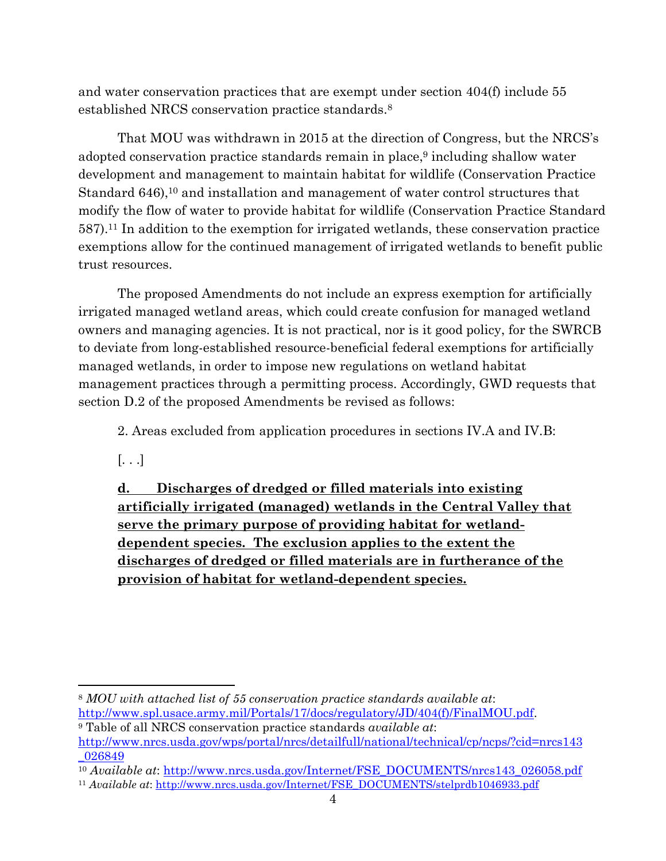and water conservation practices that are exempt under section 404(f) include 55 established NRCS conservation practice standards. 8

That MOU was withdrawn in 2015 at the direction of Congress, but the NRCS's adopted conservation practice standards remain in place, <sup>9</sup> including shallow water development and management to maintain habitat for wildlife (Conservation Practice Standard 646),<sup>10</sup> and installation and management of water control structures that modify the flow of water to provide habitat for wildlife (Conservation Practice Standard 587).<sup>11</sup> In addition to the exemption for irrigated wetlands, these conservation practice exemptions allow for the continued management of irrigated wetlands to benefit public trust resources.

The proposed Amendments do not include an express exemption for artificially irrigated managed wetland areas, which could create confusion for managed wetland owners and managing agencies. It is not practical, nor is it good policy, for the SWRCB to deviate from long-established resource-beneficial federal exemptions for artificially managed wetlands, in order to impose new regulations on wetland habitat management practices through a permitting process. Accordingly, GWD requests that section D.2 of the proposed Amendments be revised as follows:

2. Areas excluded from application procedures in sections IV.A and IV.B:

[. . .]

**d. Discharges of dredged or filled materials into existing artificially irrigated (managed) wetlands in the Central Valley that serve the primary purpose of providing habitat for wetlanddependent species. The exclusion applies to the extent the discharges of dredged or filled materials are in furtherance of the provision of habitat for wetland-dependent species.**

 $\overline{\phantom{a}}$ <sup>8</sup> *MOU with attached list of 55 conservation practice standards available at*: [http://www.spl.usace.army.mil/Portals/17/docs/regulatory/JD/404\(f\)/FinalMOU.pdf.](http://www.spl.usace.army.mil/Portals/17/docs/regulatory/JD/404(f)/FinalMOU.pdf)

<sup>9</sup> Table of all NRCS conservation practice standards *available at*: [http://www.nrcs.usda.gov/wps/portal/nrcs/detailfull/national/technical/cp/ncps/?cid=nrcs143](http://www.nrcs.usda.gov/wps/portal/nrcs/detailfull/national/technical/cp/ncps/?cid=nrcs143_026849) [\\_026849](http://www.nrcs.usda.gov/wps/portal/nrcs/detailfull/national/technical/cp/ncps/?cid=nrcs143_026849)

<sup>&</sup>lt;sup>10</sup> *Available at*: [http://www.nrcs.usda.gov/Internet/FSE\\_DOCUMENTS/nrcs143\\_026058.pdf](http://www.nrcs.usda.gov/Internet/FSE_DOCUMENTS/nrcs143_026058.pdf)

<sup>11</sup> *Available at*: [http://www.nrcs.usda.gov/Internet/FSE\\_DOCUMENTS/stelprdb1046933.pdf](http://www.nrcs.usda.gov/Internet/FSE_DOCUMENTS/stelprdb1046933.pdf)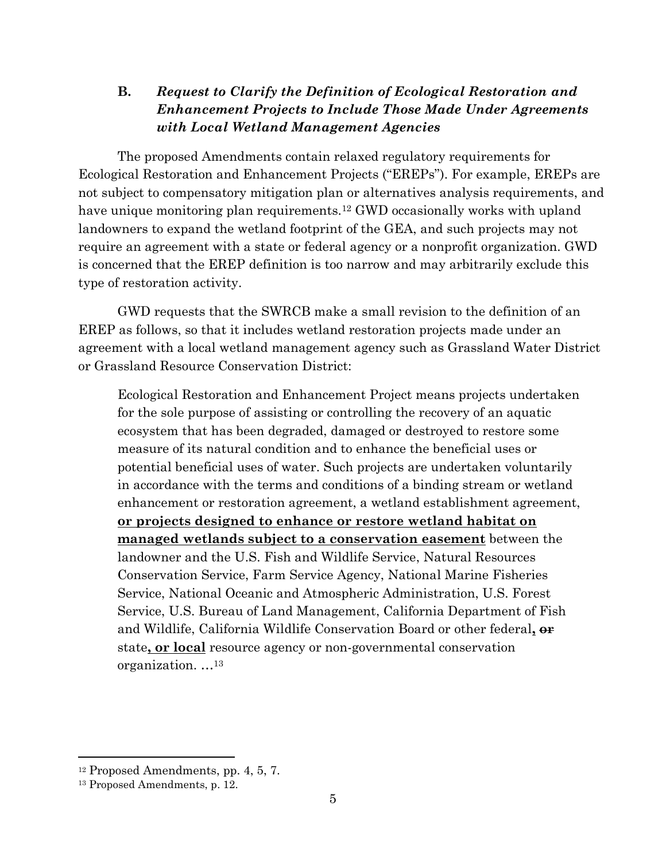# **B.** *Request to Clarify the Definition of Ecological Restoration and Enhancement Projects to Include Those Made Under Agreements with Local Wetland Management Agencies*

The proposed Amendments contain relaxed regulatory requirements for Ecological Restoration and Enhancement Projects ("EREPs"). For example, EREPs are not subject to compensatory mitigation plan or alternatives analysis requirements, and have unique monitoring plan requirements.<sup>12</sup> GWD occasionally works with upland landowners to expand the wetland footprint of the GEA, and such projects may not require an agreement with a state or federal agency or a nonprofit organization. GWD is concerned that the EREP definition is too narrow and may arbitrarily exclude this type of restoration activity.

GWD requests that the SWRCB make a small revision to the definition of an EREP as follows, so that it includes wetland restoration projects made under an agreement with a local wetland management agency such as Grassland Water District or Grassland Resource Conservation District:

Ecological Restoration and Enhancement Project means projects undertaken for the sole purpose of assisting or controlling the recovery of an aquatic ecosystem that has been degraded, damaged or destroyed to restore some measure of its natural condition and to enhance the beneficial uses or potential beneficial uses of water. Such projects are undertaken voluntarily in accordance with the terms and conditions of a binding stream or wetland enhancement or restoration agreement, a wetland establishment agreement, **or projects designed to enhance or restore wetland habitat on managed wetlands subject to a conservation easement** between the landowner and the U.S. Fish and Wildlife Service, Natural Resources Conservation Service, Farm Service Agency, National Marine Fisheries Service, National Oceanic and Atmospheric Administration, U.S. Forest Service, U.S. Bureau of Land Management, California Department of Fish and Wildlife, California Wildlife Conservation Board or other federal**, or** state**, or local** resource agency or non-governmental conservation organization. …<sup>13</sup>

 $\overline{\phantom{a}}$ 

<sup>12</sup> Proposed Amendments, pp. 4, 5, 7.

<sup>13</sup> Proposed Amendments, p. 12.